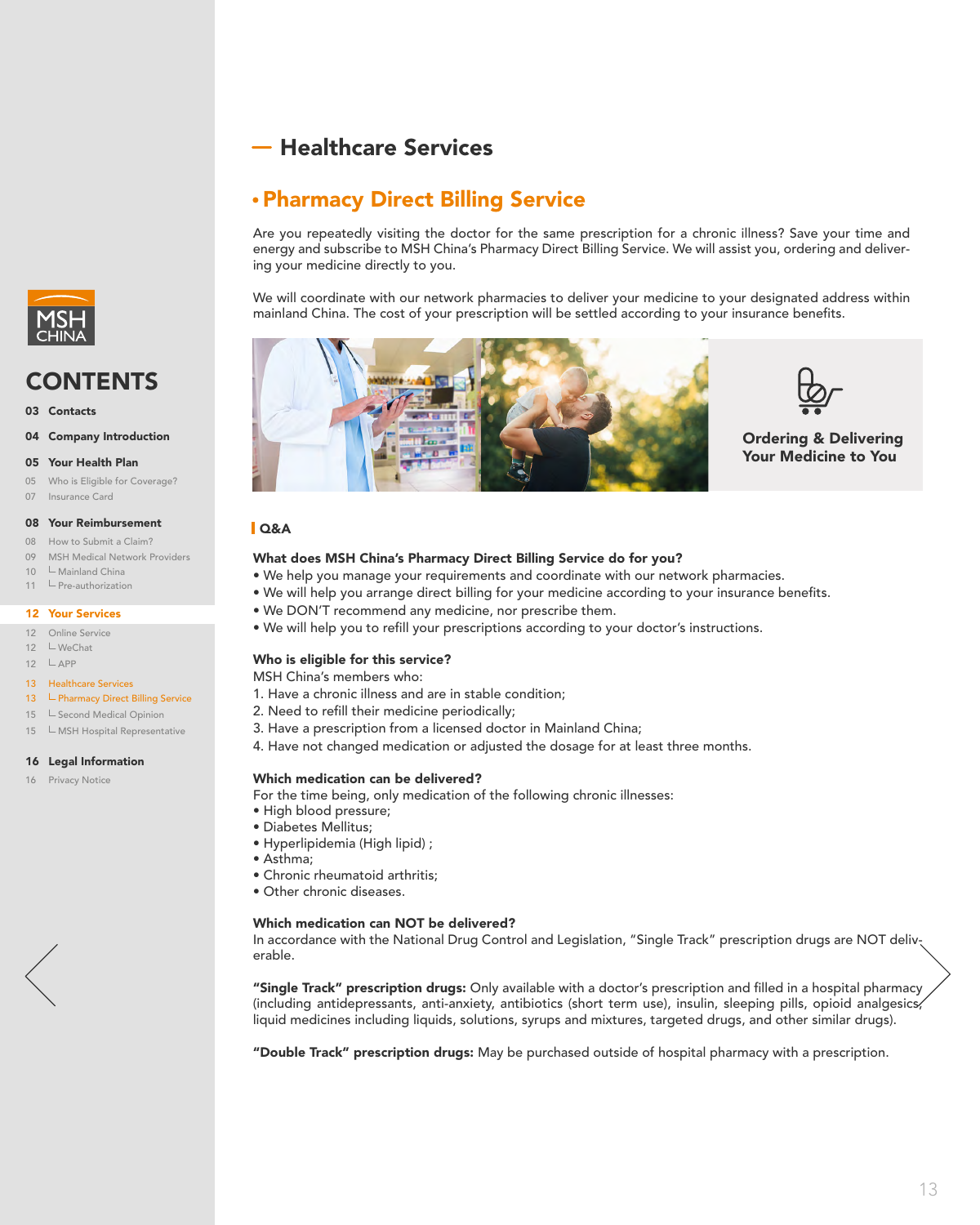Healthcare Services

# What does MSH China's Pharmacy Direct Billing Service do for you?

- We help you manage your requirements and coordinate with our network pharmacies.
- We will help you arrange direct billing for your medicine according to your insurance benefits.
- We DON'T recommend any medicine, nor prescribe them.
- We will help you to refill your prescriptions according to your doctor's instructions.

### Who is eligible for this service?

MSH China's members who:

- 1. Have a chronic illness and are in stable condition;
- 2. Need to refill their medicine periodically;
- 3. Have a prescription from a licensed doctor in Mainland China;
- 4. Have not changed medication or adjusted the dosage for at least three months.

"Single Track" prescription drugs: Only available with a doctor's prescription and filled in a hospital pharmacy (including antidepressants, anti-anxiety, antibiotics (short term use), insulin, sleeping pills, opioid analgesics, liquid medicines including liquids, solutions, syrups and mixtures, targeted drugs, and other similar drugs).

"Double Track" prescription drugs: May be purchased outside of hospital pharmacy with a prescription.

### Which medication can be delivered?

For the time being, only medication of the following chronic illnesses:

- High blood pressure;
- Diabetes Mellitus;
- Hyperlipidemia (High lipid) ;
- Asthma;

<span id="page-0-0"></span>

- 
- Chronic rheumatoid arthritis;
- Other chronic diseases.

### Which medication can NOT be delivered?

In accordance with the National Drug Control and Legislation, "Single Track" prescription drugs are NOT deliverable.

- 12 Online Service
- 12 LWeChat
- 12  $\Box$  APP

# Q&A

# Ordering & Delivering Your Medicine to You

# Pharmacy Direct Billing Service

Are you repeatedly visiting the doctor for the same prescription for a chronic illness? Save your time and energy and subscribe to MSH China's Pharmacy Direct Billing Service. We will assist you, ordering and delivering your medicine directly to you.

We will coordinate with our network pharmacies to deliver your medicine to your designated address within mainland China. The cost of your prescription will be settled according to your insurance benefits.





# CONTENTS

03 Contacts

#### 04 Company Introduction

#### 05 Your Health Plan

- 05 Who is Eligible for Coverage?
- 07 Insurance Card

# 16 Legal Information

16 Privacy Notice

### 08 Your Reimbursement

- 08 How to Submit a Claim?
- 09 MSH Medical Network Providers
- 10 Mainland China
- 11 Pre-authorization

#### 12 Your Services

#### 13 Healthcare Services

#### 13 **L** Pharmacy Direct Billing Service

- 15 **L** Second Medical Opinion
- 15 **L** MSH Hospital Representative